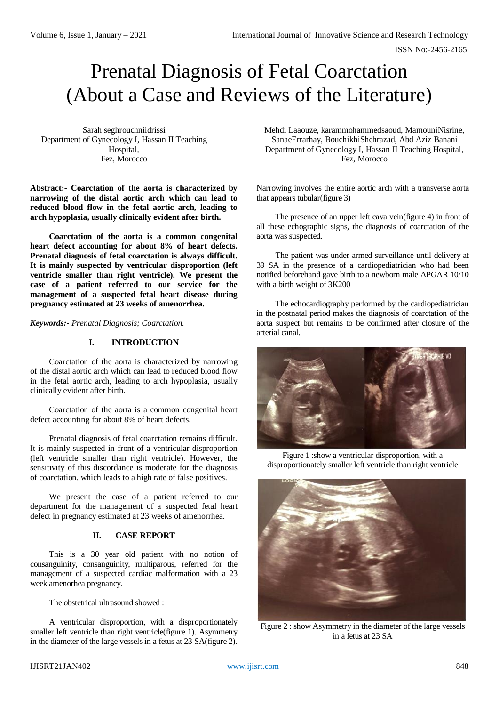ISSN No:-2456-2165

# Prenatal Diagnosis of Fetal Coarctation (About a Case and Reviews of the Literature)

Sarah seghrouchniidrissi Department of Gynecology I, Hassan II Teaching Hospital, Fez, Morocco

**Abstract:- Coarctation of the aorta is characterized by narrowing of the distal aortic arch which can lead to reduced blood flow in the fetal aortic arch, leading to arch hypoplasia, usually clinically evident after birth.**

**Coarctation of the aorta is a common congenital heart defect accounting for about 8% of heart defects. Prenatal diagnosis of fetal coarctation is always difficult. It is mainly suspected by ventricular disproportion (left ventricle smaller than right ventricle). We present the case of a patient referred to our service for the management of a suspected fetal heart disease during pregnancy estimated at 23 weeks of amenorrhea.**

*Keywords:- Prenatal Diagnosis; Coarctation.*

# **I. INTRODUCTION**

Coarctation of the aorta is characterized by narrowing of the distal aortic arch which can lead to reduced blood flow in the fetal aortic arch, leading to arch hypoplasia, usually clinically evident after birth.

Coarctation of the aorta is a common congenital heart defect accounting for about 8% of heart defects.

Prenatal diagnosis of fetal coarctation remains difficult. It is mainly suspected in front of a ventricular disproportion (left ventricle smaller than right ventricle). However, the sensitivity of this discordance is moderate for the diagnosis of coarctation, which leads to a high rate of false positives.

We present the case of a patient referred to our department for the management of a suspected fetal heart defect in pregnancy estimated at 23 weeks of amenorrhea.

#### **II. CASE REPORT**

This is a 30 year old patient with no notion of consanguinity, consanguinity, multiparous, referred for the management of a suspected cardiac malformation with a 23 week amenorhea pregnancy.

The obstetrical ultrasound showed :

A ventricular disproportion, with a disproportionately smaller left ventricle than right ventricle(figure 1). Asymmetry in the diameter of the large vessels in a fetus at 23 SA(figure 2). Mehdi Laaouze, karammohammedsaoud, MamouniNisrine, SanaeErrarhay, BouchikhiShehrazad, Abd Aziz Banani Department of Gynecology I, Hassan II Teaching Hospital, Fez, Morocco

Narrowing involves the entire aortic arch with a transverse aorta that appears tubular(figure 3)

The presence of an upper left cava vein(figure 4) in front of all these echographic signs, the diagnosis of coarctation of the aorta was suspected.

The patient was under armed surveillance until delivery at 39 SA in the presence of a cardiopediatrician who had been notified beforehand gave birth to a newborn male APGAR 10/10 with a birth weight of 3K200

The echocardiography performed by the cardiopediatrician in the postnatal period makes the diagnosis of coarctation of the aorta suspect but remains to be confirmed after closure of the arterial canal.



Figure 1 :show a ventricular disproportion, with a disproportionately smaller left ventricle than right ventricle



Figure 2 : show Asymmetry in the diameter of the large vessels in a fetus at 23 SA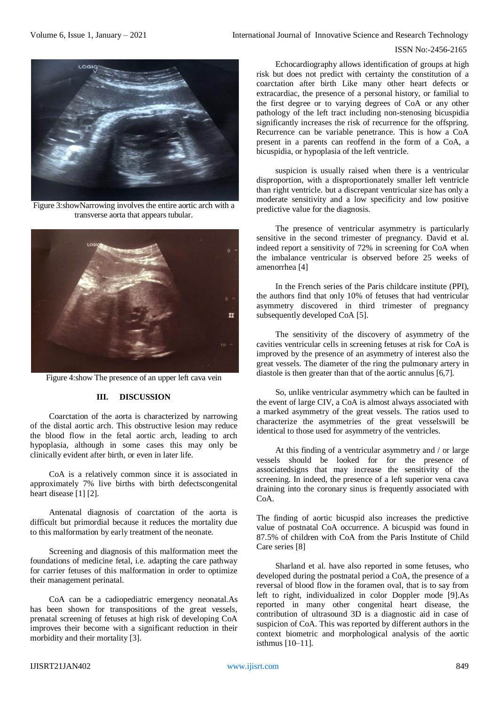### ISSN No:-2456-2165



Figure 3:showNarrowing involves the entire aortic arch with a transverse aorta that appears tubular.



Figure 4:show The presence of an upper left cava vein

# **III. DISCUSSION**

Coarctation of the aorta is characterized by narrowing of the distal aortic arch. This obstructive lesion may reduce the blood flow in the fetal aortic arch, leading to arch hypoplasia, although in some cases this may only be clinically evident after birth, or even in later life.

CoA is a relatively common since it is associated in approximately 7% live births with birth defectscongenital heart disease [1] [2].

Antenatal diagnosis of coarctation of the aorta is difficult but primordial because it reduces the mortality due to this malformation by early treatment of the neonate.

Screening and diagnosis of this malformation meet the foundations of medicine fetal, i.e. adapting the care pathway for carrier fetuses of this malformation in order to optimize their management perinatal.

CoA can be a cadiopediatric emergency neonatal.As has been shown for transpositions of the great vessels, prenatal screening of fetuses at high risk of developing CoA improves their become with a significant reduction in their morbidity and their mortality [3].

Echocardiography allows identification of groups at high risk but does not predict with certainty the constitution of a coarctation after birth Like many other heart defects or extracardiac, the presence of a personal history, or familial to the first degree or to varying degrees of CoA or any other pathology of the left tract including non-stenosing bicuspidia significantly increases the risk of recurrence for the offspring. Recurrence can be variable penetrance. This is how a CoA present in a parents can reoffend in the form of a CoA, a bicuspidia, or hypoplasia of the left ventricle.

suspicion is usually raised when there is a ventricular disproportion, with a disproportionately smaller left ventricle than right ventricle. but a discrepant ventricular size has only a moderate sensitivity and a low specificity and low positive predictive value for the diagnosis.

The presence of ventricular asymmetry is particularly sensitive in the second trimester of pregnancy. David et al. indeed report a sensitivity of 72% in screening for CoA when the imbalance ventricular is observed before 25 weeks of amenorrhea [4]

In the French series of the Paris childcare institute (PPI), the authors find that only 10% of fetuses that had ventricular asymmetry discovered in third trimester of pregnancy subsequently developed CoA [5].

The sensitivity of the discovery of asymmetry of the cavities ventricular cells in screening fetuses at risk for CoA is improved by the presence of an asymmetry of interest also the great vessels. The diameter of the ring the pulmonary artery in diastole is then greater than that of the aortic annulus [6,7].

So, unlike ventricular asymmetry which can be faulted in the event of large CIV, a CoA is almost always associated with a marked asymmetry of the great vessels. The ratios used to characterize the asymmetries of the great vesselswill be identical to those used for asymmetry of the ventricles.

At this finding of a ventricular asymmetry and / or large vessels should be looked for for the presence of associatedsigns that may increase the sensitivity of the screening. In indeed, the presence of a left superior vena cava draining into the coronary sinus is frequently associated with CoA.

The finding of aortic bicuspid also increases the predictive value of postnatal CoA occurrence. A bicuspid was found in 87.5% of children with CoA from the Paris Institute of Child Care series [8]

Sharland et al. have also reported in some fetuses, who developed during the postnatal period a CoA, the presence of a reversal of blood flow in the foramen oval, that is to say from left to right, individualized in color Doppler mode [9].As reported in many other congenital heart disease, the contribution of ultrasound 3D is a diagnostic aid in case of suspicion of CoA. This was reported by different authors in the context biometric and morphological analysis of the aortic isthmus [10–11].